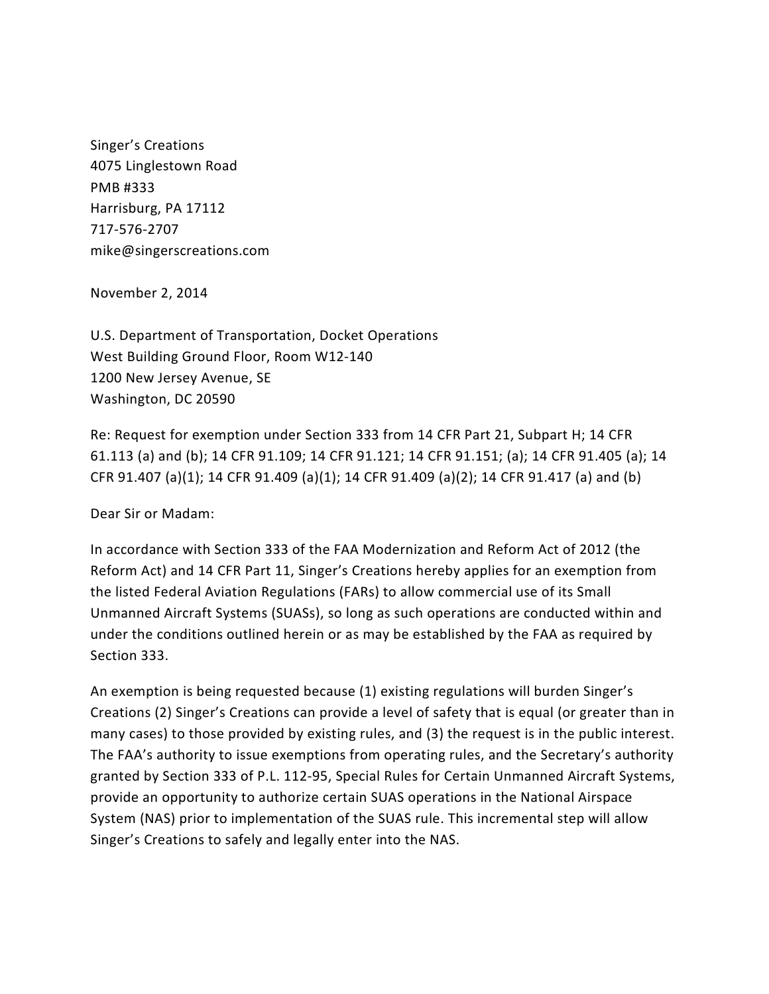Singer's Creations 4075 Linglestown Road PMB #333 Harrisburg, PA 17112 717-576-2707 mike@singerscreations.com

November 2, 2014

U.S. Department of Transportation, Docket Operations West Building Ground Floor, Room W12-140 1200 New Jersey Avenue, SE Washington, DC 20590

Re: Request for exemption under Section 333 from 14 CFR Part 21, Subpart H; 14 CFR 61.113 (a) and (b); 14 CFR 91.109; 14 CFR 91.121; 14 CFR 91.151; (a); 14 CFR 91.405 (a); 14 CFR 91.407 (a)(1); 14 CFR 91.409 (a)(1); 14 CFR 91.409 (a)(2); 14 CFR 91.417 (a) and (b)

Dear Sir or Madam:

In accordance with Section 333 of the FAA Modernization and Reform Act of 2012 (the Reform Act) and 14 CFR Part 11, Singer's Creations hereby applies for an exemption from the listed Federal Aviation Regulations (FARs) to allow commercial use of its Small Unmanned Aircraft Systems (SUASs), so long as such operations are conducted within and under the conditions outlined herein or as may be established by the FAA as required by Section 333.

An exemption is being requested because (1) existing regulations will burden Singer's Creations (2) Singer's Creations can provide a level of safety that is equal (or greater than in many cases) to those provided by existing rules, and (3) the request is in the public interest. The FAA's authority to issue exemptions from operating rules, and the Secretary's authority granted by Section 333 of P.L. 112-95, Special Rules for Certain Unmanned Aircraft Systems, provide an opportunity to authorize certain SUAS operations in the National Airspace System (NAS) prior to implementation of the SUAS rule. This incremental step will allow Singer's Creations to safely and legally enter into the NAS.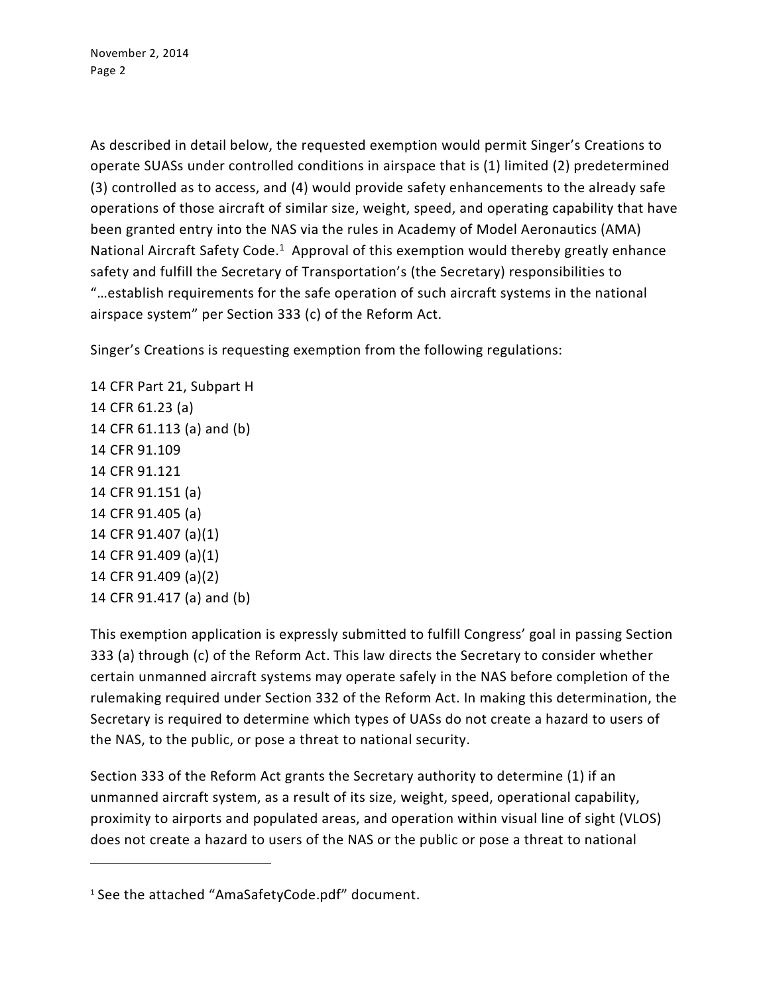As described in detail below, the requested exemption would permit Singer's Creations to operate SUASs under controlled conditions in airspace that is (1) limited (2) predetermined (3) controlled as to access, and (4) would provide safety enhancements to the already safe operations of those aircraft of similar size, weight, speed, and operating capability that have been granted entry into the NAS via the rules in Academy of Model Aeronautics (AMA) National Aircraft Safety Code.<sup>1</sup> Approval of this exemption would thereby greatly enhance safety and fulfill the Secretary of Transportation's (the Secretary) responsibilities to "…establish requirements for the safe operation of such aircraft systems in the national airspace system" per Section 333 (c) of the Reform Act.

Singer's Creations is requesting exemption from the following regulations:

14 CFR Part 21, Subpart H 14 CFR 61.23 (a) 14 CFR 61.113 (a) and (b) 14 CFR 91.109 14 CFR 91.121 14 CFR 91.151 (a) 14 CFR 91.405 (a) 14 CFR 91.407 (a)(1) 14 CFR 91.409 (a)(1) 14 CFR 91.409 (a)(2) 14 CFR 91.417 (a) and (b)

 $\overline{a}$ 

This exemption application is expressly submitted to fulfill Congress' goal in passing Section 333 (a) through (c) of the Reform Act. This law directs the Secretary to consider whether certain unmanned aircraft systems may operate safely in the NAS before completion of the rulemaking required under Section 332 of the Reform Act. In making this determination, the Secretary is required to determine which types of UASs do not create a hazard to users of the NAS, to the public, or pose a threat to national security.

Section 333 of the Reform Act grants the Secretary authority to determine (1) if an unmanned aircraft system, as a result of its size, weight, speed, operational capability, proximity to airports and populated areas, and operation within visual line of sight (VLOS) does not create a hazard to users of the NAS or the public or pose a threat to national

<sup>1</sup> See the attached "AmaSafetyCode.pdf" document.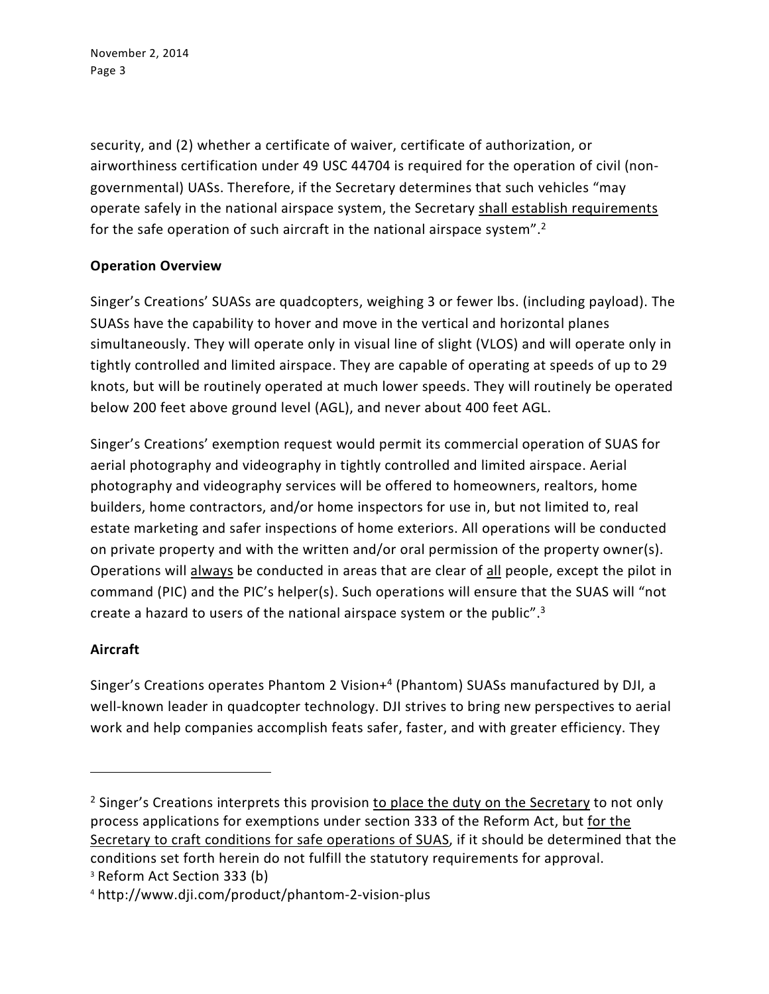security, and (2) whether a certificate of waiver, certificate of authorization, or airworthiness certification under 49 USC 44704 is required for the operation of civil (nongovernmental) UASs. Therefore, if the Secretary determines that such vehicles "may operate safely in the national airspace system, the Secretary shall establish requirements for the safe operation of such aircraft in the national airspace system".<sup>2</sup>

# **Operation Overview**

Singer's Creations' SUASs are quadcopters, weighing 3 or fewer lbs. (including payload). The SUASs have the capability to hover and move in the vertical and horizontal planes simultaneously. They will operate only in visual line of slight (VLOS) and will operate only in tightly controlled and limited airspace. They are capable of operating at speeds of up to 29 knots, but will be routinely operated at much lower speeds. They will routinely be operated below 200 feet above ground level (AGL), and never about 400 feet AGL.

Singer's Creations' exemption request would permit its commercial operation of SUAS for aerial photography and videography in tightly controlled and limited airspace. Aerial photography and videography services will be offered to homeowners, realtors, home builders, home contractors, and/or home inspectors for use in, but not limited to, real estate marketing and safer inspections of home exteriors. All operations will be conducted on private property and with the written and/or oral permission of the property owner(s). Operations will always be conducted in areas that are clear of all people, except the pilot in command (PIC) and the PIC's helper(s). Such operations will ensure that the SUAS will "not create a hazard to users of the national airspace system or the public".<sup>3</sup>

# **Aircraft**

1

Singer's Creations operates Phantom 2 Vision+<sup>4</sup> (Phantom) SUASs manufactured by DJI, a well-known leader in quadcopter technology. DJI strives to bring new perspectives to aerial work and help companies accomplish feats safer, faster, and with greater efficiency. They

<sup>&</sup>lt;sup>2</sup> Singer's Creations interprets this provision to place the duty on the Secretary to not only process applications for exemptions under section 333 of the Reform Act, but for the Secretary to craft conditions for safe operations of SUAS, if it should be determined that the conditions set forth herein do not fulfill the statutory requirements for approval. <sup>3</sup> Reform Act Section 333 (b)

<sup>4</sup> http://www.dji.com/product/phantom-2-vision-plus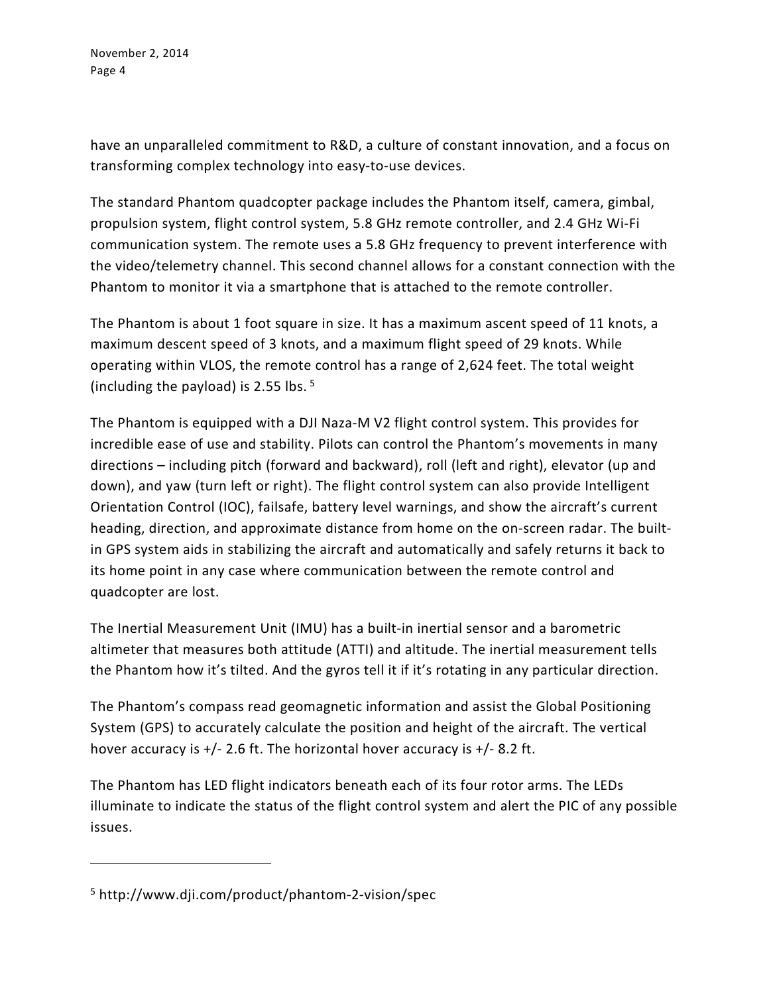have an unparalleled commitment to R&D, a culture of constant innovation, and a focus on transforming complex technology into easy-to-use devices.

The standard Phantom quadcopter package includes the Phantom itself, camera, gimbal, propulsion system, flight control system, 5.8 GHz remote controller, and 2.4 GHz Wi-Fi communication system. The remote uses a 5.8 GHz frequency to prevent interference with the video/telemetry channel. This second channel allows for a constant connection with the Phantom to monitor it via a smartphone that is attached to the remote controller.

The Phantom is about 1 foot square in size. It has a maximum ascent speed of 11 knots, a maximum descent speed of 3 knots, and a maximum flight speed of 29 knots. While operating within VLOS, the remote control has a range of 2,624 feet. The total weight (including the payload) is 2.55 lbs.  $5\%$ 

The Phantom is equipped with a DJI Naza-M V2 flight control system. This provides for incredible ease of use and stability. Pilots can control the Phantom's movements in many directions – including pitch (forward and backward), roll (left and right), elevator (up and down), and yaw (turn left or right). The flight control system can also provide Intelligent Orientation Control (IOC), failsafe, battery level warnings, and show the aircraft's current heading, direction, and approximate distance from home on the on-screen radar. The builtin GPS system aids in stabilizing the aircraft and automatically and safely returns it back to its home point in any case where communication between the remote control and quadcopter are lost.

The Inertial Measurement Unit (IMU) has a built-in inertial sensor and a barometric altimeter that measures both attitude (ATTI) and altitude. The inertial measurement tells the Phantom how it's tilted. And the gyros tell it if it's rotating in any particular direction.

The Phantom's compass read geomagnetic information and assist the Global Positioning System (GPS) to accurately calculate the position and height of the aircraft. The vertical hover accuracy is  $+/- 2.6$  ft. The horizontal hover accuracy is  $+/- 8.2$  ft.

The Phantom has LED flight indicators beneath each of its four rotor arms. The LEDs illuminate to indicate the status of the flight control system and alert the PIC of any possible issues.

 $\overline{a}$ 

<sup>5</sup> http://www.dji.com/product/phantom-2-vision/spec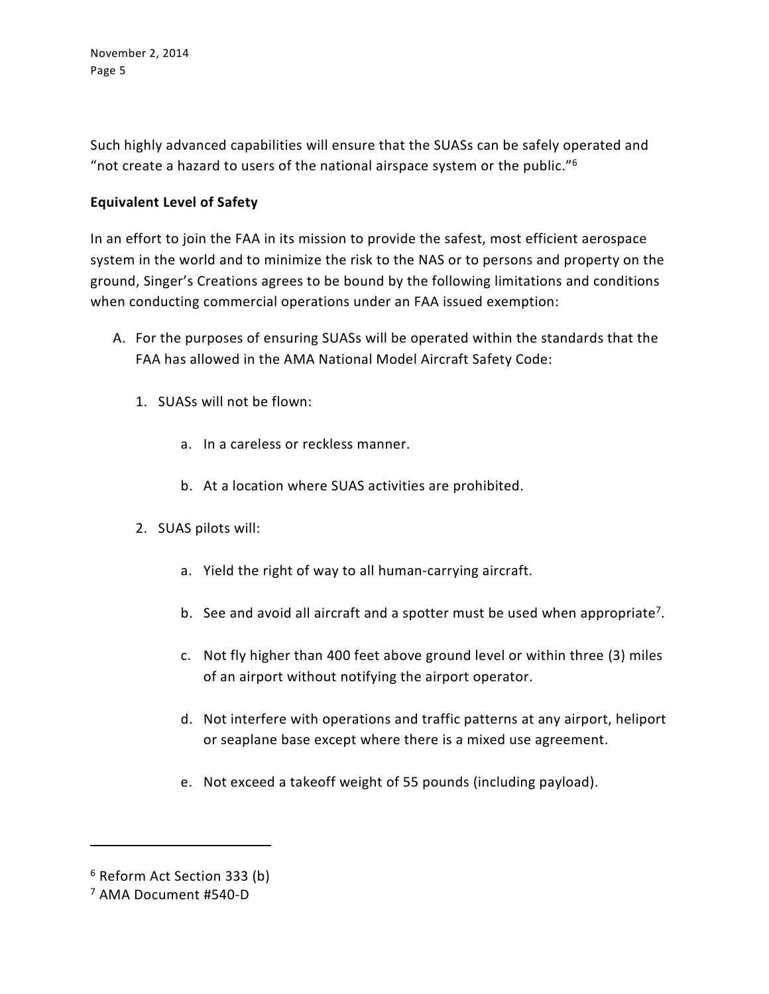Such highly advanced capabilities will ensure that the SUASs can be safely operated and "not create a hazard to users of the national airspace system or the public." $6$ 

# **Equivalent Level of Safety**

In an effort to join the FAA in its mission to provide the safest, most efficient aerospace system in the world and to minimize the risk to the NAS or to persons and property on the ground, Singer's Creations agrees to be bound by the following limitations and conditions when conducting commercial operations under an FAA issued exemption:

- A. For the purposes of ensuring SUASs will be operated within the standards that the FAA has allowed in the AMA National Model Aircraft Safety Code:
	- 1. SUASs will not be flown:
		- a. In a careless or reckless manner.
		- b. At a location where SUAS activities are prohibited.
	- 2. SUAS pilots will:
		- a. Yield the right of way to all human-carrying aircraft.
		- b. See and avoid all aircraft and a spotter must be used when appropriate<sup>7</sup>.
		- c. Not fly higher than 400 feet above ground level or within three (3) miles of an airport without notifying the airport operator.
		- d. Not interfere with operations and traffic patterns at any airport, heliport or seaplane base except where there is a mixed use agreement.
		- e. Not exceed a takeoff weight of 55 pounds (including payload).

 $\overline{a}$ 

<sup>6</sup> Reform Act Section 333 (b)

<sup>7</sup> AMA Document #540-D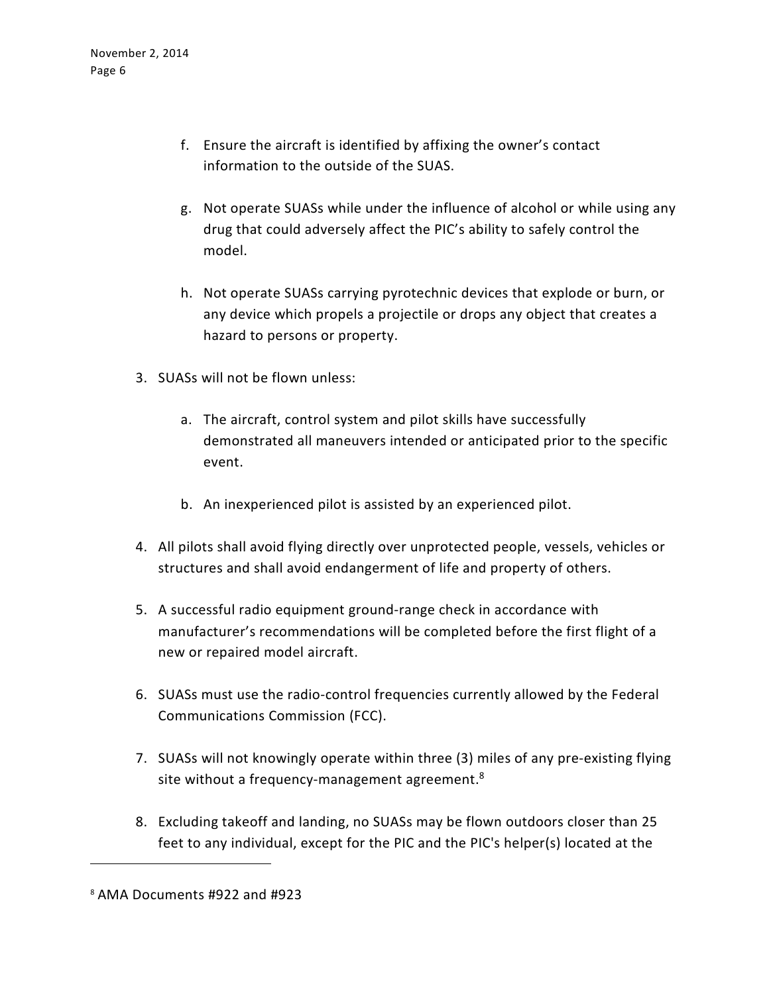- f. Ensure the aircraft is identified by affixing the owner's contact information to the outside of the SUAS.
- g. Not operate SUASs while under the influence of alcohol or while using any drug that could adversely affect the PIC's ability to safely control the model.
- h. Not operate SUASs carrying pyrotechnic devices that explode or burn, or any device which propels a projectile or drops any object that creates a hazard to persons or property.
- 3. SUASs will not be flown unless:
	- a. The aircraft, control system and pilot skills have successfully demonstrated all maneuvers intended or anticipated prior to the specific event.
	- b. An inexperienced pilot is assisted by an experienced pilot.
- 4. All pilots shall avoid flying directly over unprotected people, vessels, vehicles or structures and shall avoid endangerment of life and property of others.
- 5. A successful radio equipment ground-range check in accordance with manufacturer's recommendations will be completed before the first flight of a new or repaired model aircraft.
- 6. SUASs must use the radio-control frequencies currently allowed by the Federal Communications Commission (FCC).
- 7. SUASs will not knowingly operate within three (3) miles of any pre-existing flying site without a frequency-management agreement.<sup>8</sup>
- 8. Excluding takeoff and landing, no SUASs may be flown outdoors closer than 25 feet to any individual, except for the PIC and the PIC's helper(s) located at the

 $\overline{a}$ 

<sup>8</sup> AMA Documents #922 and #923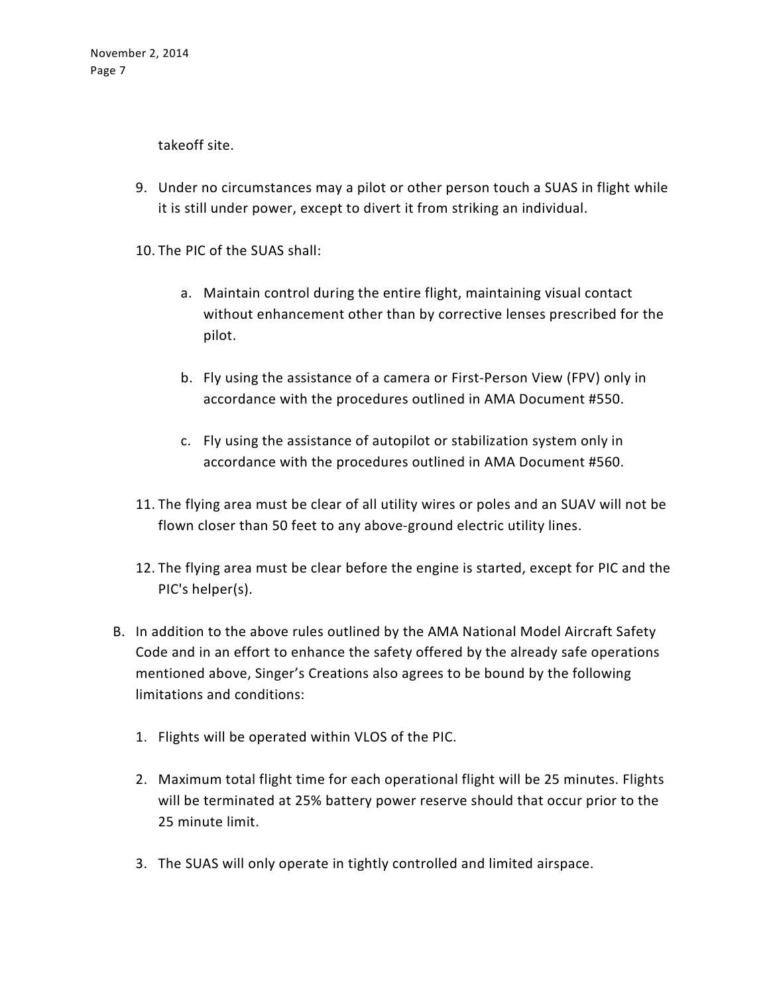takeoff site.

- 9. Under no circumstances may a pilot or other person touch a SUAS in flight while it is still under power, except to divert it from striking an individual.
- 10. The PIC of the SUAS shall:
	- a. Maintain control during the entire flight, maintaining visual contact without enhancement other than by corrective lenses prescribed for the pilot.
	- b. Fly using the assistance of a camera or First-Person View (FPV) only in accordance with the procedures outlined in AMA Document #550.
	- c. Fly using the assistance of autopilot or stabilization system only in accordance with the procedures outlined in AMA Document #560.
- 11. The flying area must be clear of all utility wires or poles and an SUAV will not be flown closer than 50 feet to any above-ground electric utility lines.
- 12. The flying area must be clear before the engine is started, except for PIC and the PIC's helper(s).
- B. In addition to the above rules outlined by the AMA National Model Aircraft Safety Code and in an effort to enhance the safety offered by the already safe operations mentioned above, Singer's Creations also agrees to be bound by the following limitations and conditions:
	- 1. Flights will be operated within VLOS of the PIC.
	- 2. Maximum total flight time for each operational flight will be 25 minutes. Flights will be terminated at 25% battery power reserve should that occur prior to the 25 minute limit.
	- 3. The SUAS will only operate in tightly controlled and limited airspace.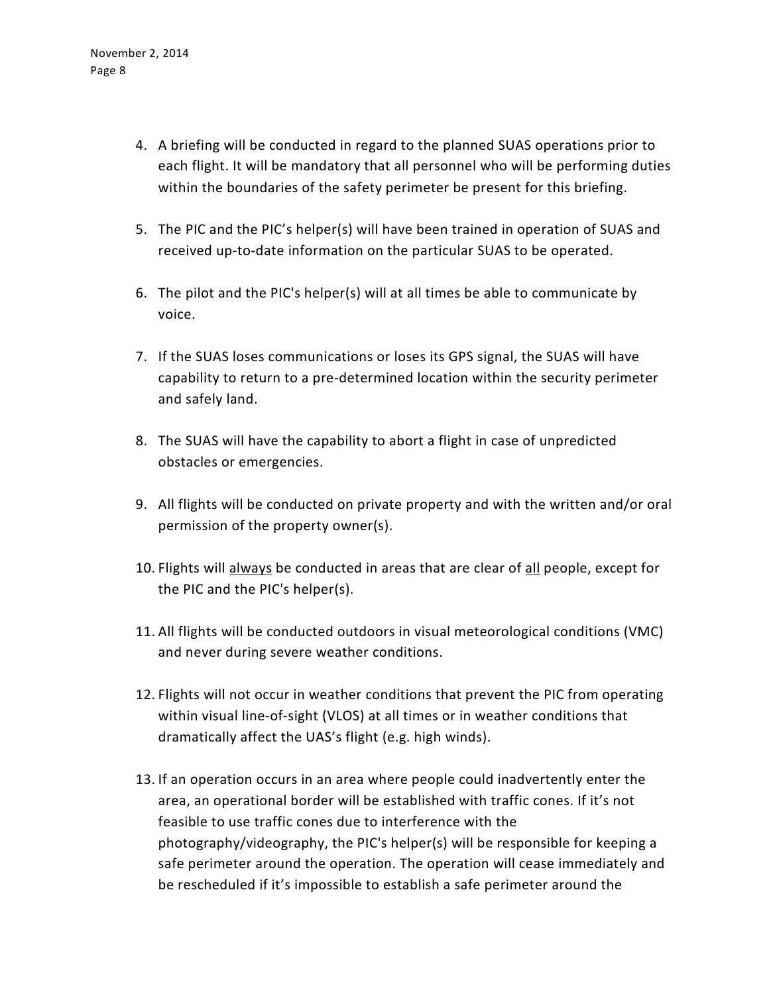- 4. A briefing will be conducted in regard to the planned SUAS operations prior to each flight. It will be mandatory that all personnel who will be performing duties within the boundaries of the safety perimeter be present for this briefing.
- 5. The PIC and the PIC's helper(s) will have been trained in operation of SUAS and received up-to-date information on the particular SUAS to be operated.
- 6. The pilot and the PIC's helper(s) will at all times be able to communicate by voice.
- 7. If the SUAS loses communications or loses its GPS signal, the SUAS will have capability to return to a pre-determined location within the security perimeter and safely land.
- 8. The SUAS will have the capability to abort a flight in case of unpredicted obstacles or emergencies.
- 9. All flights will be conducted on private property and with the written and/or oral permission of the property owner(s).
- 10. Flights will always be conducted in areas that are clear of all people, except for the PIC and the PIC's helper(s).
- 11. All flights will be conducted outdoors in visual meteorological conditions (VMC) and never during severe weather conditions.
- 12. Flights will not occur in weather conditions that prevent the PIC from operating within visual line-of-sight (VLOS) at all times or in weather conditions that dramatically affect the UAS's flight (e.g. high winds).
- 13. If an operation occurs in an area where people could inadvertently enter the area, an operational border will be established with traffic cones. If it's not feasible to use traffic cones due to interference with the photography/videography, the PIC's helper(s) will be responsible for keeping a safe perimeter around the operation. The operation will cease immediately and be rescheduled if it's impossible to establish a safe perimeter around the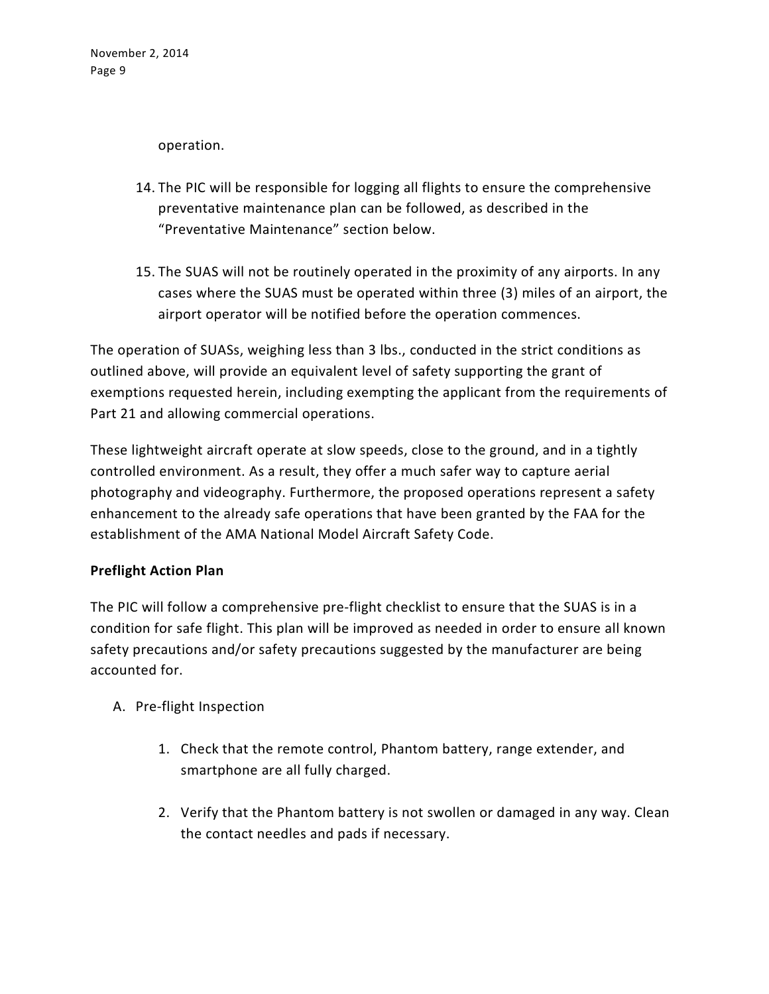operation.

- 14. The PIC will be responsible for logging all flights to ensure the comprehensive preventative maintenance plan can be followed, as described in the "Preventative Maintenance" section below.
- 15. The SUAS will not be routinely operated in the proximity of any airports. In any cases where the SUAS must be operated within three (3) miles of an airport, the airport operator will be notified before the operation commences.

The operation of SUASs, weighing less than 3 lbs., conducted in the strict conditions as outlined above, will provide an equivalent level of safety supporting the grant of exemptions requested herein, including exempting the applicant from the requirements of Part 21 and allowing commercial operations.

These lightweight aircraft operate at slow speeds, close to the ground, and in a tightly controlled environment. As a result, they offer a much safer way to capture aerial photography and videography. Furthermore, the proposed operations represent a safety enhancement to the already safe operations that have been granted by the FAA for the establishment of the AMA National Model Aircraft Safety Code.

# **Preflight Action Plan**

The PIC will follow a comprehensive pre-flight checklist to ensure that the SUAS is in a condition for safe flight. This plan will be improved as needed in order to ensure all known safety precautions and/or safety precautions suggested by the manufacturer are being accounted for.

- A. Pre-flight Inspection
	- 1. Check that the remote control, Phantom battery, range extender, and smartphone are all fully charged.
	- 2. Verify that the Phantom battery is not swollen or damaged in any way. Clean the contact needles and pads if necessary.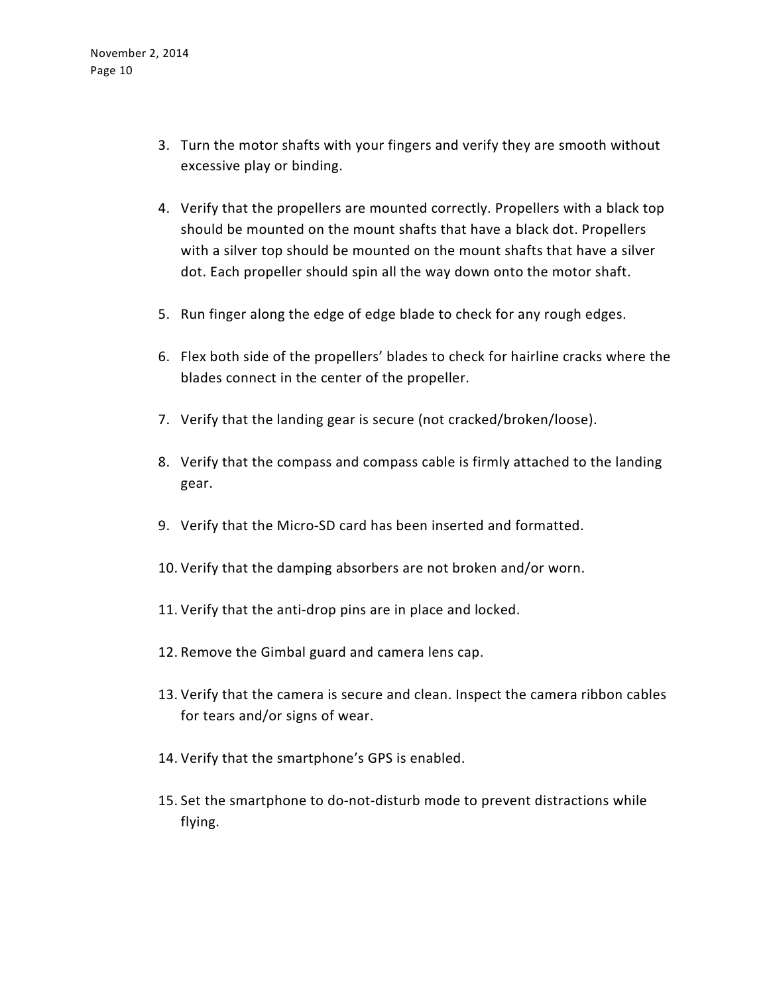- 3. Turn the motor shafts with your fingers and verify they are smooth without excessive play or binding.
- 4. Verify that the propellers are mounted correctly. Propellers with a black top should be mounted on the mount shafts that have a black dot. Propellers with a silver top should be mounted on the mount shafts that have a silver dot. Each propeller should spin all the way down onto the motor shaft.
- 5. Run finger along the edge of edge blade to check for any rough edges.
- 6. Flex both side of the propellers' blades to check for hairline cracks where the blades connect in the center of the propeller.
- 7. Verify that the landing gear is secure (not cracked/broken/loose).
- 8. Verify that the compass and compass cable is firmly attached to the landing gear.
- 9. Verify that the Micro-SD card has been inserted and formatted.
- 10. Verify that the damping absorbers are not broken and/or worn.
- 11. Verify that the anti-drop pins are in place and locked.
- 12. Remove the Gimbal guard and camera lens cap.
- 13. Verify that the camera is secure and clean. Inspect the camera ribbon cables for tears and/or signs of wear.
- 14. Verify that the smartphone's GPS is enabled.
- 15. Set the smartphone to do-not-disturb mode to prevent distractions while flying.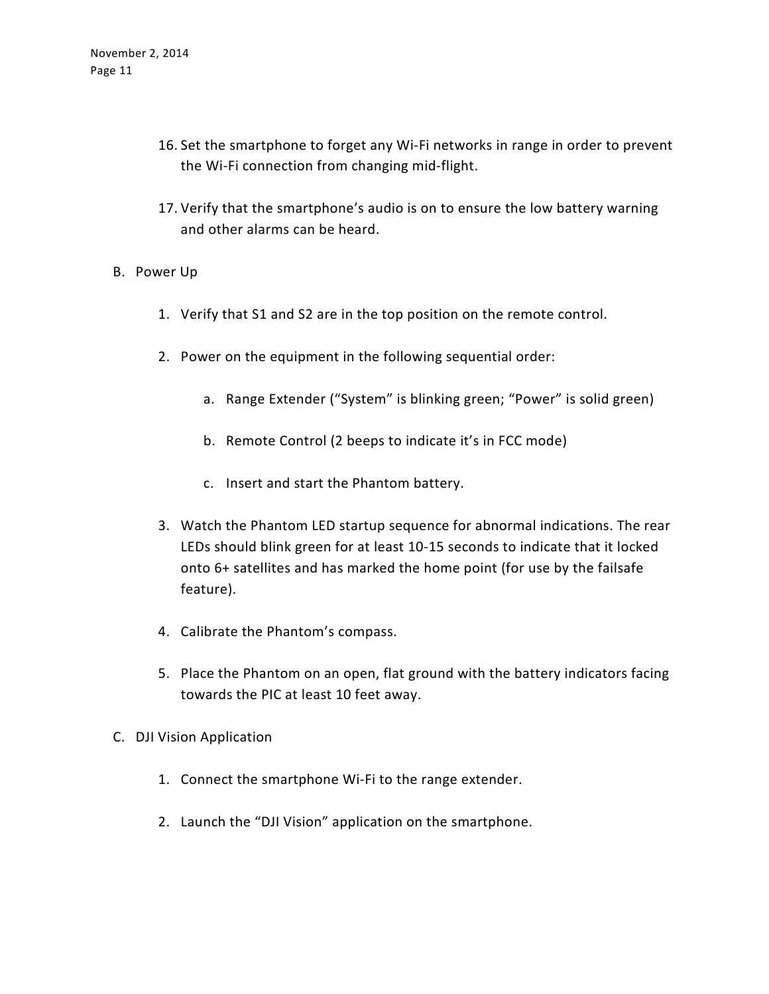- 16. Set the smartphone to forget any Wi-Fi networks in range in order to prevent the Wi-Fi connection from changing mid-flight.
- 17. Verify that the smartphone's audio is on to ensure the low battery warning and other alarms can be heard.
- B. Power Up
	- 1. Verify that S1 and S2 are in the top position on the remote control.
	- 2. Power on the equipment in the following sequential order:
		- a. Range Extender ("System" is blinking green; "Power" is solid green)
		- b. Remote Control (2 beeps to indicate it's in FCC mode)
		- c. Insert and start the Phantom battery.
	- 3. Watch the Phantom LED startup sequence for abnormal indications. The rear LEDs should blink green for at least 10-15 seconds to indicate that it locked onto 6+ satellites and has marked the home point (for use by the failsafe feature).
	- 4. Calibrate the Phantom's compass.
	- 5. Place the Phantom on an open, flat ground with the battery indicators facing towards the PIC at least 10 feet away.
- C. DJI Vision Application
	- 1. Connect the smartphone Wi-Fi to the range extender.
	- 2. Launch the "DJI Vision" application on the smartphone.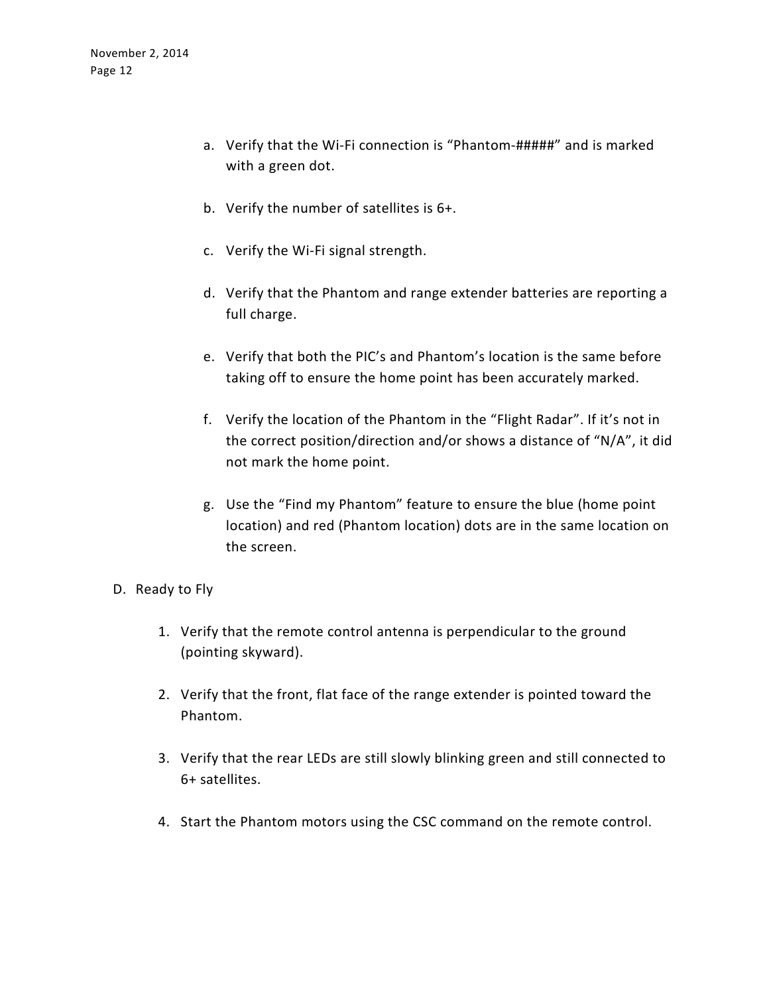- a. Verify that the Wi-Fi connection is "Phantom-#####" and is marked with a green dot.
- b. Verify the number of satellites is 6+.
- c. Verify the Wi-Fi signal strength.
- d. Verify that the Phantom and range extender batteries are reporting a full charge.
- e. Verify that both the PIC's and Phantom's location is the same before taking off to ensure the home point has been accurately marked.
- f. Verify the location of the Phantom in the "Flight Radar". If it's not in the correct position/direction and/or shows a distance of "N/A", it did not mark the home point.
- g. Use the "Find my Phantom" feature to ensure the blue (home point location) and red (Phantom location) dots are in the same location on the screen.
- D. Ready to Fly
	- 1. Verify that the remote control antenna is perpendicular to the ground (pointing skyward).
	- 2. Verify that the front, flat face of the range extender is pointed toward the Phantom.
	- 3. Verify that the rear LEDs are still slowly blinking green and still connected to 6+ satellites.
	- 4. Start the Phantom motors using the CSC command on the remote control.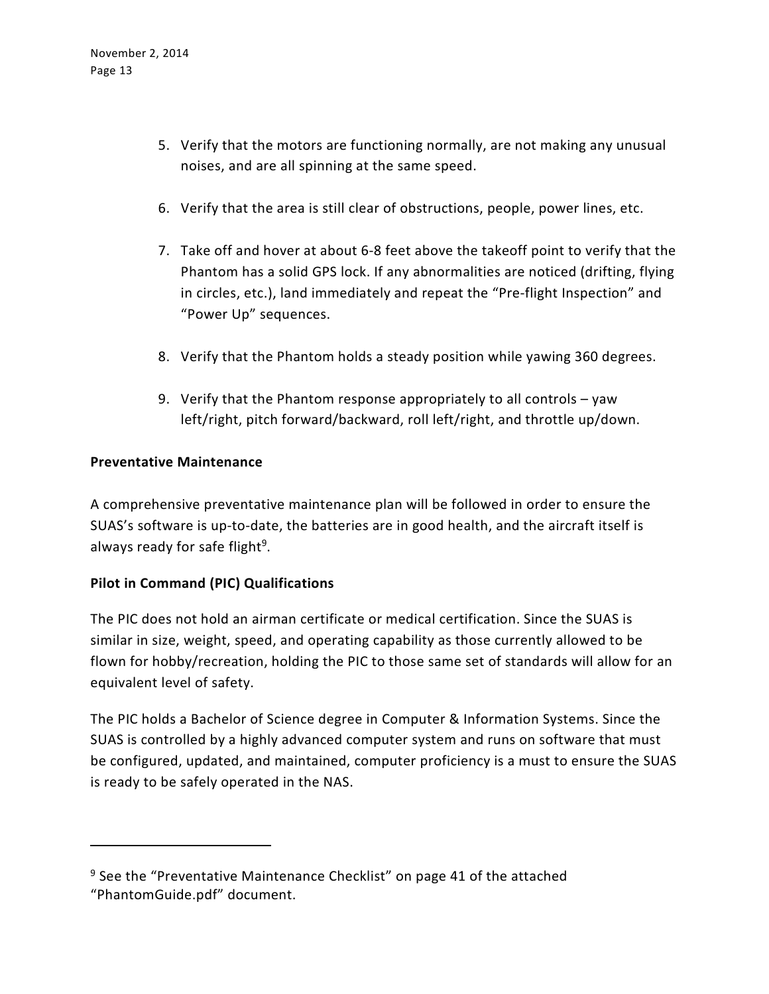- 5. Verify that the motors are functioning normally, are not making any unusual noises, and are all spinning at the same speed.
- 6. Verify that the area is still clear of obstructions, people, power lines, etc.
- 7. Take off and hover at about 6-8 feet above the takeoff point to verify that the Phantom has a solid GPS lock. If any abnormalities are noticed (drifting, flying in circles, etc.), land immediately and repeat the "Pre-flight Inspection" and "Power Up" sequences.
- 8. Verify that the Phantom holds a steady position while yawing 360 degrees.
- 9. Verify that the Phantom response appropriately to all controls yaw left/right, pitch forward/backward, roll left/right, and throttle up/down.

### **Preventative Maintenance**

 $\overline{a}$ 

A comprehensive preventative maintenance plan will be followed in order to ensure the SUAS's software is up-to-date, the batteries are in good health, and the aircraft itself is always ready for safe flight<sup>9</sup>.

# **Pilot in Command (PIC) Qualifications**

The PIC does not hold an airman certificate or medical certification. Since the SUAS is similar in size, weight, speed, and operating capability as those currently allowed to be flown for hobby/recreation, holding the PIC to those same set of standards will allow for an equivalent level of safety.

The PIC holds a Bachelor of Science degree in Computer & Information Systems. Since the SUAS is controlled by a highly advanced computer system and runs on software that must be configured, updated, and maintained, computer proficiency is a must to ensure the SUAS is ready to be safely operated in the NAS.

<sup>&</sup>lt;sup>9</sup> See the "Preventative Maintenance Checklist" on page 41 of the attached "PhantomGuide.pdf" document.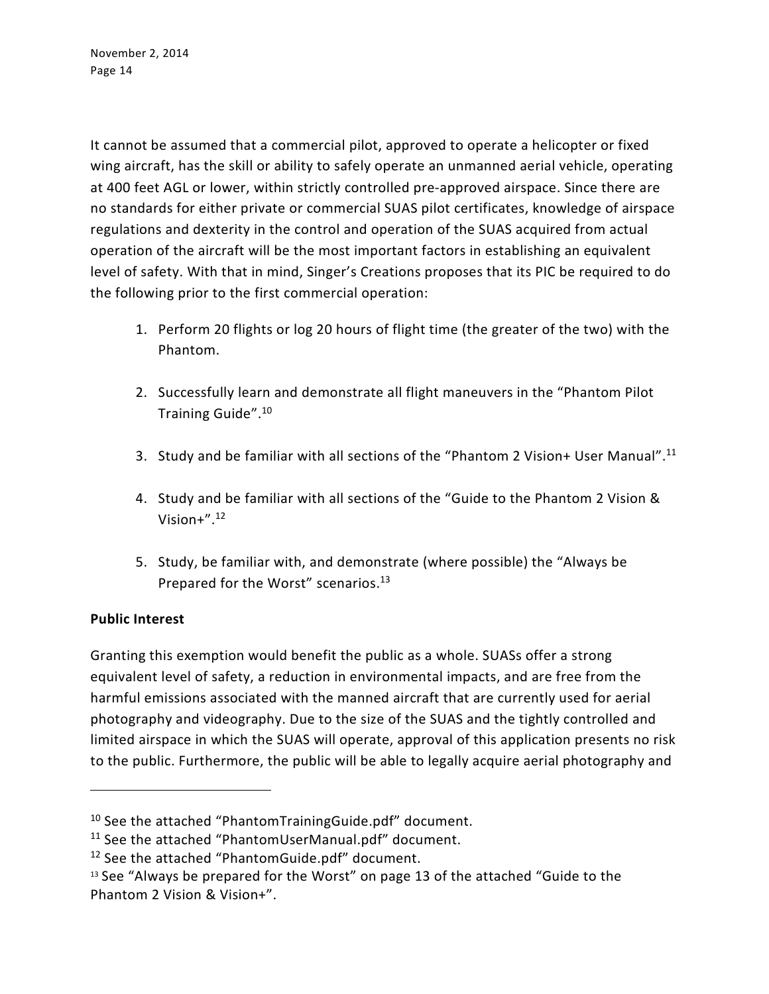It cannot be assumed that a commercial pilot, approved to operate a helicopter or fixed wing aircraft, has the skill or ability to safely operate an unmanned aerial vehicle, operating at 400 feet AGL or lower, within strictly controlled pre-approved airspace. Since there are no standards for either private or commercial SUAS pilot certificates, knowledge of airspace regulations and dexterity in the control and operation of the SUAS acquired from actual operation of the aircraft will be the most important factors in establishing an equivalent level of safety. With that in mind, Singer's Creations proposes that its PIC be required to do the following prior to the first commercial operation:

- 1. Perform 20 flights or log 20 hours of flight time (the greater of the two) with the Phantom.
- 2. Successfully learn and demonstrate all flight maneuvers in the "Phantom Pilot Training Guide".<sup>10</sup>
- 3. Study and be familiar with all sections of the "Phantom 2 Vision+ User Manual".<sup>11</sup>
- 4. Study and be familiar with all sections of the "Guide to the Phantom 2 Vision & Vision $+$ ". $12$
- 5. Study, be familiar with, and demonstrate (where possible) the "Always be Prepared for the Worst" scenarios.<sup>13</sup>

# **Public Interest**

 $\overline{a}$ 

Granting this exemption would benefit the public as a whole. SUASs offer a strong equivalent level of safety, a reduction in environmental impacts, and are free from the harmful emissions associated with the manned aircraft that are currently used for aerial photography and videography. Due to the size of the SUAS and the tightly controlled and limited airspace in which the SUAS will operate, approval of this application presents no risk to the public. Furthermore, the public will be able to legally acquire aerial photography and

<sup>10</sup> See the attached "PhantomTrainingGuide.pdf" document.

<sup>11</sup> See the attached "PhantomUserManual.pdf" document.

<sup>12</sup> See the attached "PhantomGuide.pdf" document.

<sup>&</sup>lt;sup>13</sup> See "Always be prepared for the Worst" on page 13 of the attached "Guide to the Phantom 2 Vision & Vision+".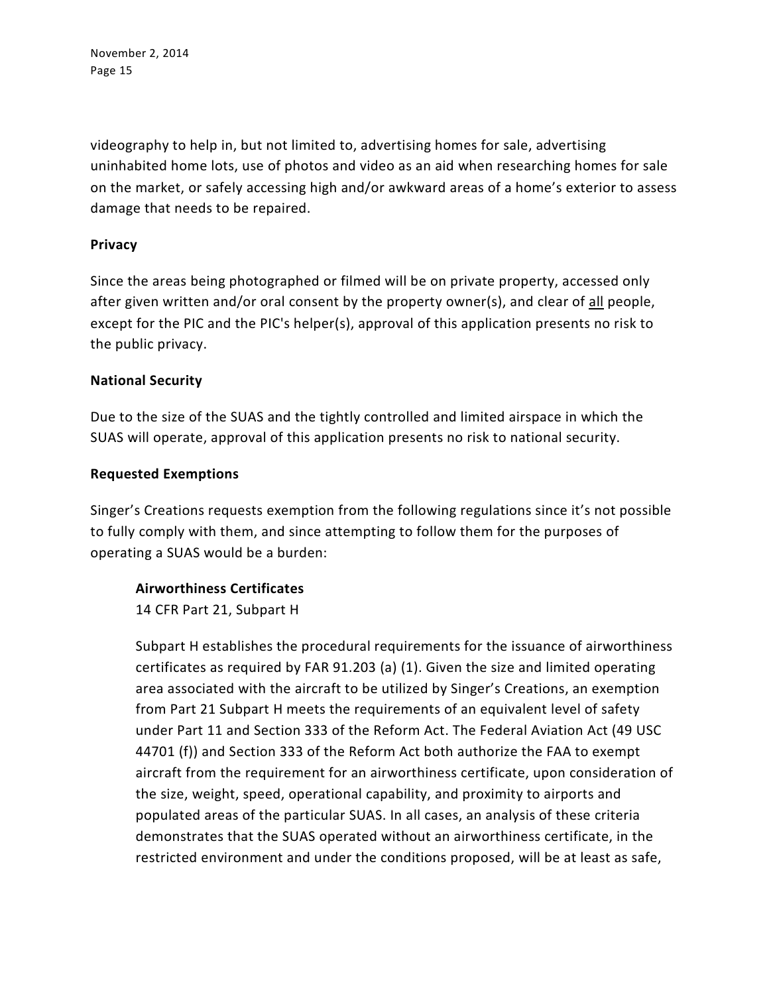videography to help in, but not limited to, advertising homes for sale, advertising uninhabited home lots, use of photos and video as an aid when researching homes for sale on the market, or safely accessing high and/or awkward areas of a home's exterior to assess damage that needs to be repaired.

### **Privacy**

Since the areas being photographed or filmed will be on private property, accessed only after given written and/or oral consent by the property owner(s), and clear of all people, except for the PIC and the PIC's helper(s), approval of this application presents no risk to the public privacy.

### **National Security**

Due to the size of the SUAS and the tightly controlled and limited airspace in which the SUAS will operate, approval of this application presents no risk to national security.

#### **Requested Exemptions**

Singer's Creations requests exemption from the following regulations since it's not possible to fully comply with them, and since attempting to follow them for the purposes of operating a SUAS would be a burden:

# **Airworthiness Certificates**

14 CFR Part 21, Subpart H

Subpart H establishes the procedural requirements for the issuance of airworthiness certificates as required by FAR 91.203 (a) (1). Given the size and limited operating area associated with the aircraft to be utilized by Singer's Creations, an exemption from Part 21 Subpart H meets the requirements of an equivalent level of safety under Part 11 and Section 333 of the Reform Act. The Federal Aviation Act (49 USC 44701 (f)) and Section 333 of the Reform Act both authorize the FAA to exempt aircraft from the requirement for an airworthiness certificate, upon consideration of the size, weight, speed, operational capability, and proximity to airports and populated areas of the particular SUAS. In all cases, an analysis of these criteria demonstrates that the SUAS operated without an airworthiness certificate, in the restricted environment and under the conditions proposed, will be at least as safe,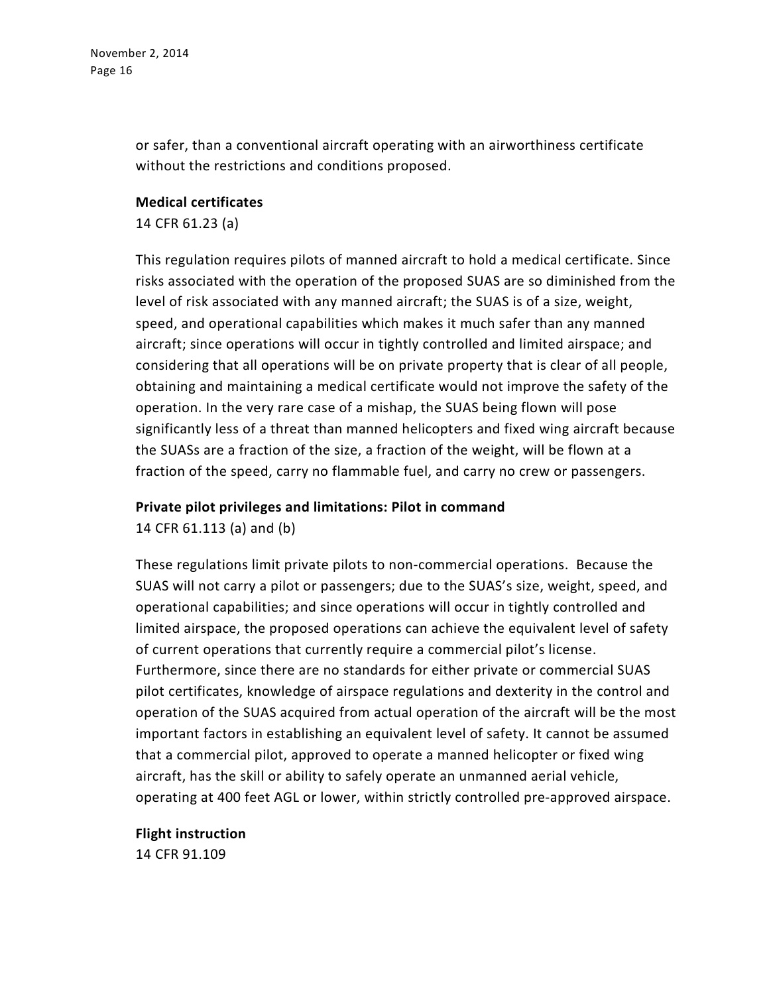or safer, than a conventional aircraft operating with an airworthiness certificate without the restrictions and conditions proposed.

### **Medical certificates**

14 CFR 61.23 (a)

This regulation requires pilots of manned aircraft to hold a medical certificate. Since risks associated with the operation of the proposed SUAS are so diminished from the level of risk associated with any manned aircraft; the SUAS is of a size, weight, speed, and operational capabilities which makes it much safer than any manned aircraft; since operations will occur in tightly controlled and limited airspace; and considering that all operations will be on private property that is clear of all people, obtaining and maintaining a medical certificate would not improve the safety of the operation. In the very rare case of a mishap, the SUAS being flown will pose significantly less of a threat than manned helicopters and fixed wing aircraft because the SUASs are a fraction of the size, a fraction of the weight, will be flown at a fraction of the speed, carry no flammable fuel, and carry no crew or passengers.

#### **Private pilot privileges and limitations: Pilot in command**

14 CFR 61.113 (a) and (b)

These regulations limit private pilots to non-commercial operations. Because the SUAS will not carry a pilot or passengers; due to the SUAS's size, weight, speed, and operational capabilities; and since operations will occur in tightly controlled and limited airspace, the proposed operations can achieve the equivalent level of safety of current operations that currently require a commercial pilot's license. Furthermore, since there are no standards for either private or commercial SUAS pilot certificates, knowledge of airspace regulations and dexterity in the control and operation of the SUAS acquired from actual operation of the aircraft will be the most important factors in establishing an equivalent level of safety. It cannot be assumed that a commercial pilot, approved to operate a manned helicopter or fixed wing aircraft, has the skill or ability to safely operate an unmanned aerial vehicle, operating at 400 feet AGL or lower, within strictly controlled pre-approved airspace.

# **Flight instruction**

14 CFR 91.109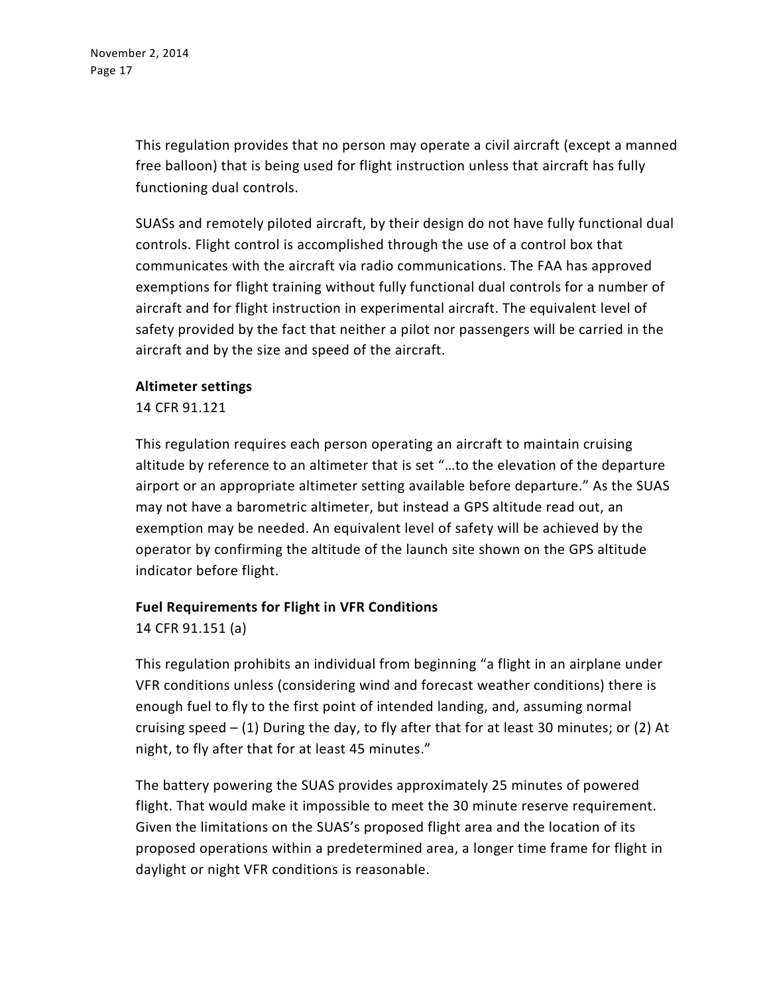This regulation provides that no person may operate a civil aircraft (except a manned free balloon) that is being used for flight instruction unless that aircraft has fully functioning dual controls.

SUASs and remotely piloted aircraft, by their design do not have fully functional dual controls. Flight control is accomplished through the use of a control box that communicates with the aircraft via radio communications. The FAA has approved exemptions for flight training without fully functional dual controls for a number of aircraft and for flight instruction in experimental aircraft. The equivalent level of safety provided by the fact that neither a pilot nor passengers will be carried in the aircraft and by the size and speed of the aircraft.

#### **Altimeter settings**

14 CFR 91.121

This regulation requires each person operating an aircraft to maintain cruising altitude by reference to an altimeter that is set "…to the elevation of the departure airport or an appropriate altimeter setting available before departure." As the SUAS may not have a barometric altimeter, but instead a GPS altitude read out, an exemption may be needed. An equivalent level of safety will be achieved by the operator by confirming the altitude of the launch site shown on the GPS altitude indicator before flight.

# **Fuel Requirements for Flight in VFR Conditions**

14 CFR 91.151 (a)

This regulation prohibits an individual from beginning "a flight in an airplane under VFR conditions unless (considering wind and forecast weather conditions) there is enough fuel to fly to the first point of intended landing, and, assuming normal cruising speed – (1) During the day, to fly after that for at least 30 minutes; or (2) At night, to fly after that for at least 45 minutes."

The battery powering the SUAS provides approximately 25 minutes of powered flight. That would make it impossible to meet the 30 minute reserve requirement. Given the limitations on the SUAS's proposed flight area and the location of its proposed operations within a predetermined area, a longer time frame for flight in daylight or night VFR conditions is reasonable.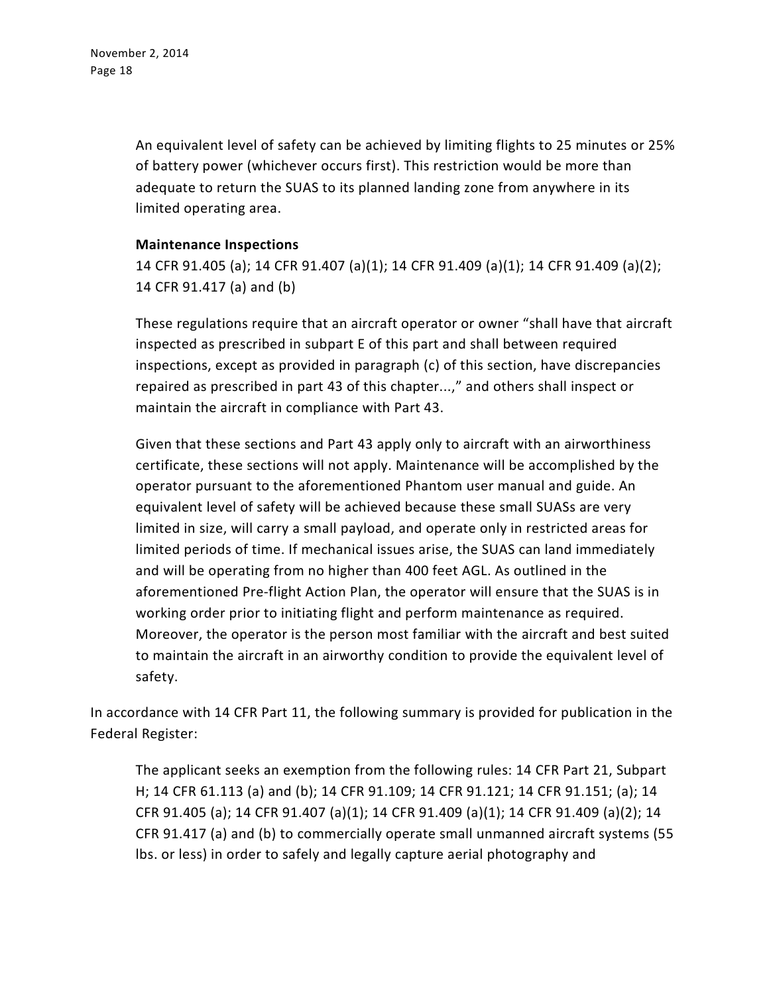An equivalent level of safety can be achieved by limiting flights to 25 minutes or 25% of battery power (whichever occurs first). This restriction would be more than adequate to return the SUAS to its planned landing zone from anywhere in its limited operating area.

### **Maintenance Inspections**

14 CFR 91.405 (a); 14 CFR 91.407 (a)(1); 14 CFR 91.409 (a)(1); 14 CFR 91.409 (a)(2); 14 CFR 91.417 (a) and (b)

These regulations require that an aircraft operator or owner "shall have that aircraft inspected as prescribed in subpart E of this part and shall between required inspections, except as provided in paragraph (c) of this section, have discrepancies repaired as prescribed in part 43 of this chapter...," and others shall inspect or maintain the aircraft in compliance with Part 43.

Given that these sections and Part 43 apply only to aircraft with an airworthiness certificate, these sections will not apply. Maintenance will be accomplished by the operator pursuant to the aforementioned Phantom user manual and guide. An equivalent level of safety will be achieved because these small SUASs are very limited in size, will carry a small payload, and operate only in restricted areas for limited periods of time. If mechanical issues arise, the SUAS can land immediately and will be operating from no higher than 400 feet AGL. As outlined in the aforementioned Pre-flight Action Plan, the operator will ensure that the SUAS is in working order prior to initiating flight and perform maintenance as required. Moreover, the operator is the person most familiar with the aircraft and best suited to maintain the aircraft in an airworthy condition to provide the equivalent level of safety.

In accordance with 14 CFR Part 11, the following summary is provided for publication in the Federal Register:

The applicant seeks an exemption from the following rules: 14 CFR Part 21, Subpart H; 14 CFR 61.113 (a) and (b); 14 CFR 91.109; 14 CFR 91.121; 14 CFR 91.151; (a); 14 CFR 91.405 (a); 14 CFR 91.407 (a)(1); 14 CFR 91.409 (a)(1); 14 CFR 91.409 (a)(2); 14 CFR 91.417 (a) and (b) to commercially operate small unmanned aircraft systems (55 lbs. or less) in order to safely and legally capture aerial photography and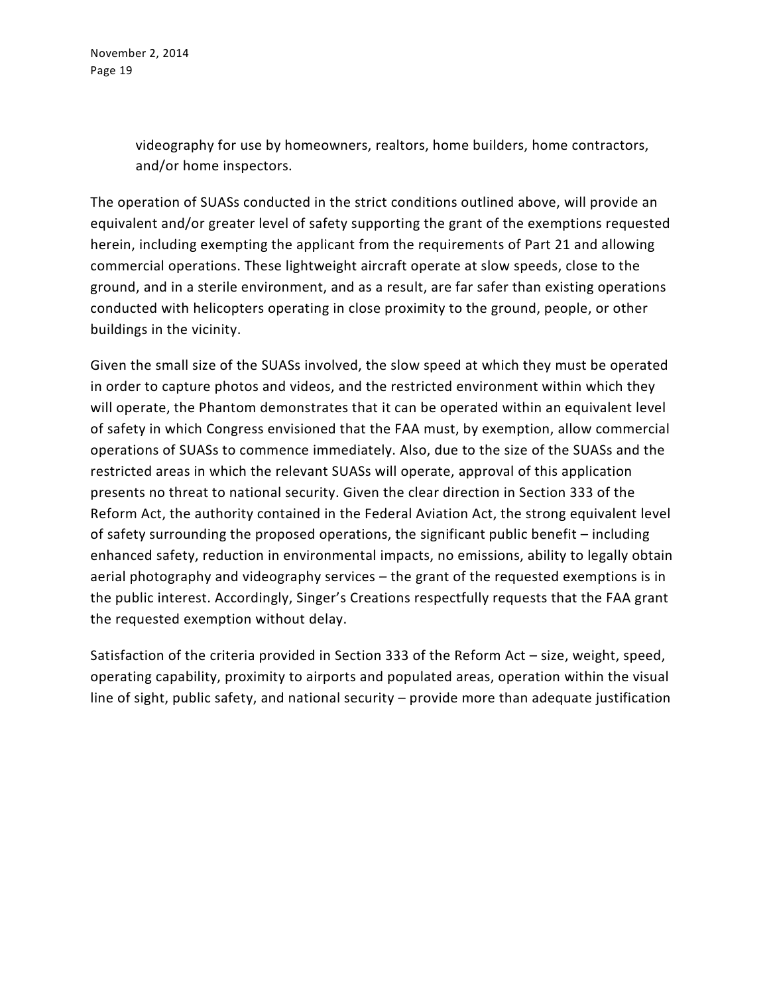> videography for use by homeowners, realtors, home builders, home contractors, and/or home inspectors.

The operation of SUASs conducted in the strict conditions outlined above, will provide an equivalent and/or greater level of safety supporting the grant of the exemptions requested herein, including exempting the applicant from the requirements of Part 21 and allowing commercial operations. These lightweight aircraft operate at slow speeds, close to the ground, and in a sterile environment, and as a result, are far safer than existing operations conducted with helicopters operating in close proximity to the ground, people, or other buildings in the vicinity.

Given the small size of the SUASs involved, the slow speed at which they must be operated in order to capture photos and videos, and the restricted environment within which they will operate, the Phantom demonstrates that it can be operated within an equivalent level of safety in which Congress envisioned that the FAA must, by exemption, allow commercial operations of SUASs to commence immediately. Also, due to the size of the SUASs and the restricted areas in which the relevant SUASs will operate, approval of this application presents no threat to national security. Given the clear direction in Section 333 of the Reform Act, the authority contained in the Federal Aviation Act, the strong equivalent level of safety surrounding the proposed operations, the significant public benefit – including enhanced safety, reduction in environmental impacts, no emissions, ability to legally obtain aerial photography and videography services – the grant of the requested exemptions is in the public interest. Accordingly, Singer's Creations respectfully requests that the FAA grant the requested exemption without delay.

Satisfaction of the criteria provided in Section 333 of the Reform Act – size, weight, speed, operating capability, proximity to airports and populated areas, operation within the visual line of sight, public safety, and national security – provide more than adequate justification